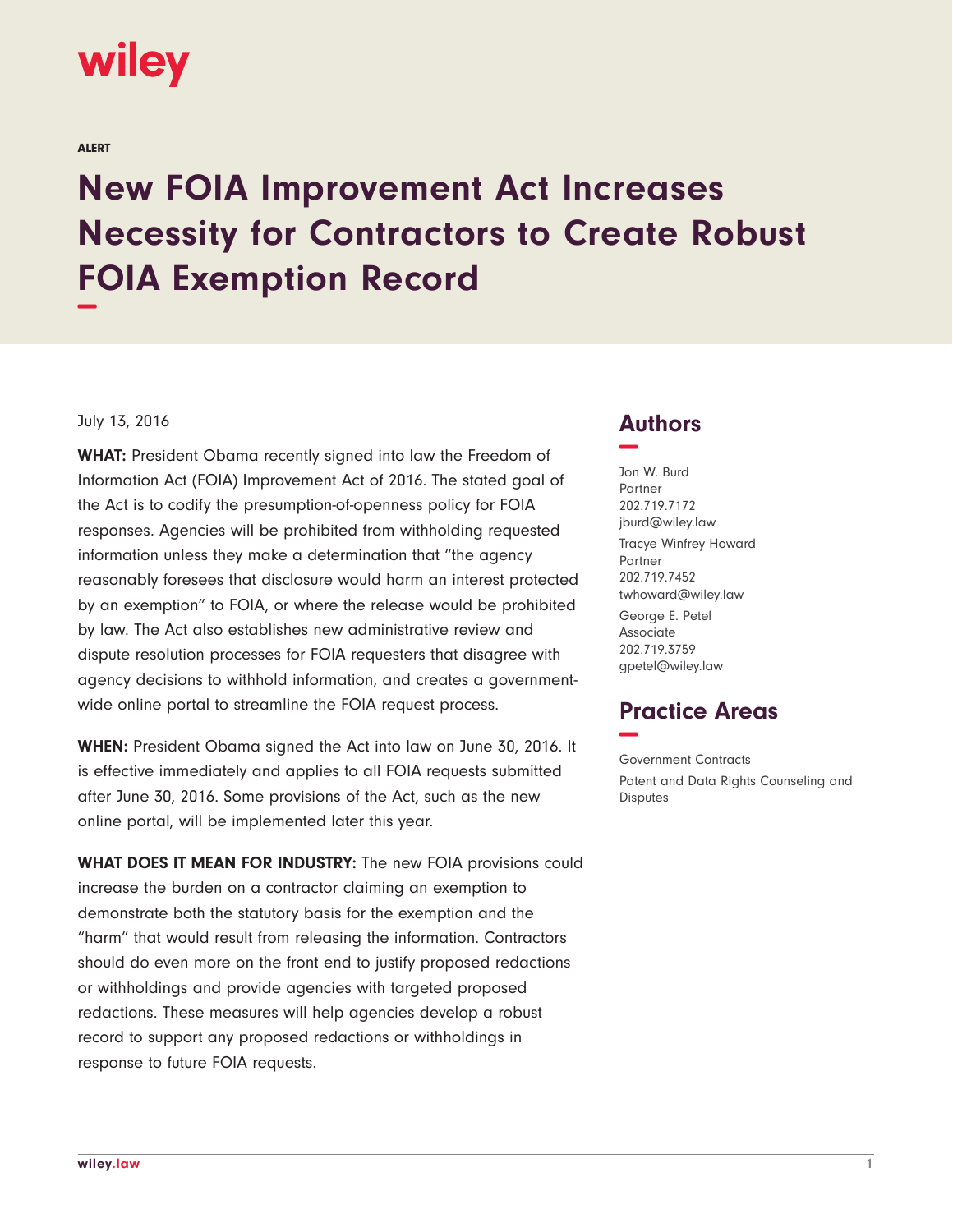# wiley

ALERT

# **New FOIA Improvement Act Increases Necessity for Contractors to Create Robust FOIA Exemption Record −**

## July 13, 2016

**WHAT:** President Obama recently signed into law the Freedom of Information Act (FOIA) Improvement Act of 2016. The stated goal of the Act is to codify the presumption-of-openness policy for FOIA responses. Agencies will be prohibited from withholding requested information unless they make a determination that "the agency reasonably foresees that disclosure would harm an interest protected by an exemption" to FOIA, or where the release would be prohibited by law. The Act also establishes new administrative review and dispute resolution processes for FOIA requesters that disagree with agency decisions to withhold information, and creates a governmentwide online portal to streamline the FOIA request process.

**WHEN:** President Obama signed the Act into law on June 30, 2016. It is effective immediately and applies to all FOIA requests submitted after June 30, 2016. Some provisions of the Act, such as the new online portal, will be implemented later this year.

**WHAT DOES IT MEAN FOR INDUSTRY:** The new FOIA provisions could increase the burden on a contractor claiming an exemption to demonstrate both the statutory basis for the exemption and the "harm" that would result from releasing the information. Contractors should do even more on the front end to justify proposed redactions or withholdings and provide agencies with targeted proposed redactions. These measures will help agencies develop a robust record to support any proposed redactions or withholdings in response to future FOIA requests.

# **Authors −**

Jon W. Burd Partner 202.719.7172 jburd@wiley.law Tracye Winfrey Howard Partner 202.719.7452 twhoward@wiley.law George E. Petel Associate 202.719.3759

# **Practice Areas −**

gpetel@wiley.law

Government Contracts Patent and Data Rights Counseling and Disputes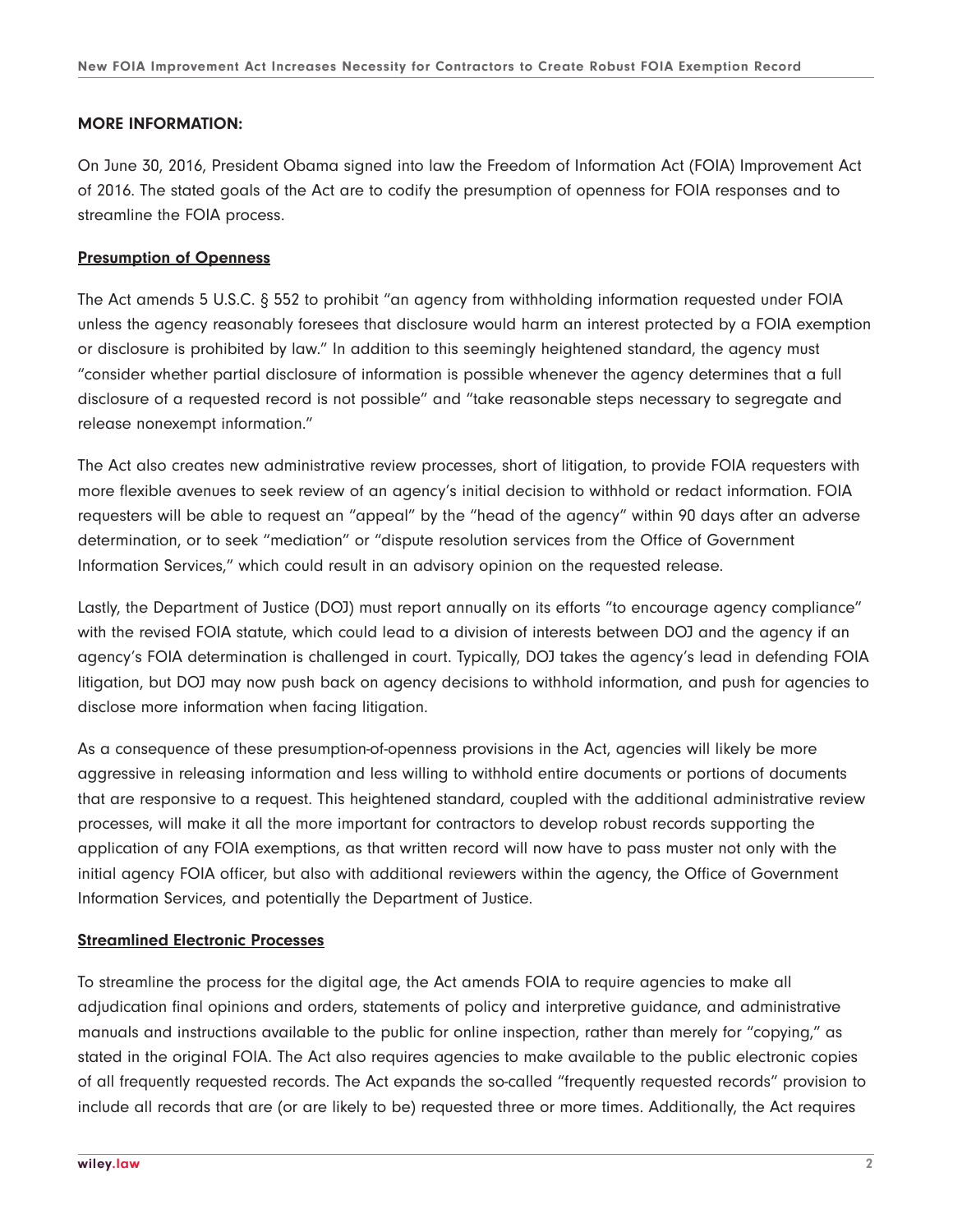## **MORE INFORMATION:**

On June 30, 2016, President Obama signed into law the Freedom of Information Act (FOIA) Improvement Act of 2016. The stated goals of the Act are to codify the presumption of openness for FOIA responses and to streamline the FOIA process.

#### **Presumption of Openness**

The Act amends 5 U.S.C. § 552 to prohibit "an agency from withholding information requested under FOIA unless the agency reasonably foresees that disclosure would harm an interest protected by a FOIA exemption or disclosure is prohibited by law." In addition to this seemingly heightened standard, the agency must "consider whether partial disclosure of information is possible whenever the agency determines that a full disclosure of a requested record is not possible" and "take reasonable steps necessary to segregate and release nonexempt information."

The Act also creates new administrative review processes, short of litigation, to provide FOIA requesters with more flexible avenues to seek review of an agency's initial decision to withhold or redact information. FOIA requesters will be able to request an "appeal" by the "head of the agency" within 90 days after an adverse determination, or to seek "mediation" or "dispute resolution services from the Office of Government Information Services," which could result in an advisory opinion on the requested release.

Lastly, the Department of Justice (DOJ) must report annually on its efforts "to encourage agency compliance" with the revised FOIA statute, which could lead to a division of interests between DOJ and the agency if an agency's FOIA determination is challenged in court. Typically, DOJ takes the agency's lead in defending FOIA litigation, but DOJ may now push back on agency decisions to withhold information, and push for agencies to disclose more information when facing litigation.

As a consequence of these presumption-of-openness provisions in the Act, agencies will likely be more aggressive in releasing information and less willing to withhold entire documents or portions of documents that are responsive to a request. This heightened standard, coupled with the additional administrative review processes, will make it all the more important for contractors to develop robust records supporting the application of any FOIA exemptions, as that written record will now have to pass muster not only with the initial agency FOIA officer, but also with additional reviewers within the agency, the Office of Government Information Services, and potentially the Department of Justice.

#### **Streamlined Electronic Processes**

To streamline the process for the digital age, the Act amends FOIA to require agencies to make all adjudication final opinions and orders, statements of policy and interpretive guidance, and administrative manuals and instructions available to the public for online inspection, rather than merely for "copying," as stated in the original FOIA. The Act also requires agencies to make available to the public electronic copies of all frequently requested records. The Act expands the so-called "frequently requested records" provision to include all records that are (or are likely to be) requested three or more times. Additionally, the Act requires